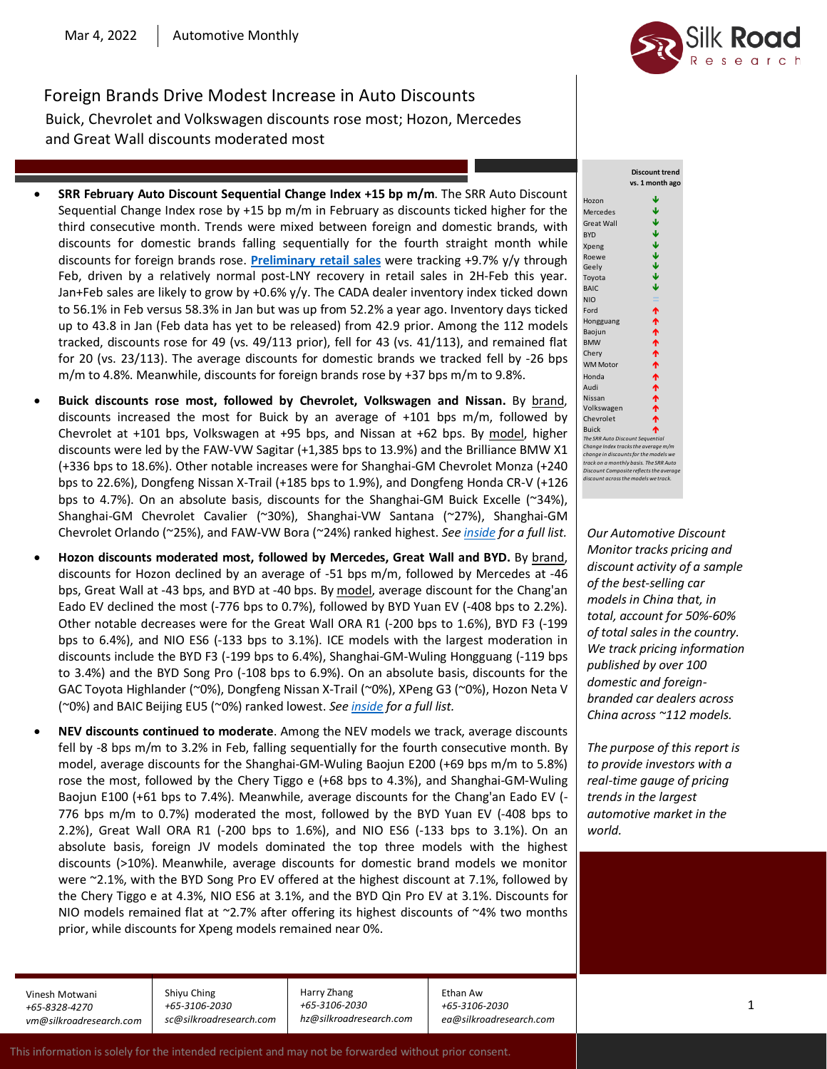

Foreign Brands Drive Modest Increase in Auto Discounts Buick, Chevrolet and Volkswagen discounts rose most; Hozon, Mercedes and Great Wall discounts moderated most

- **SRR February Auto Discount Sequential Change Index +15 bp m/m**. The SRR Auto Discount Sequential Change Index rose by +15 bp m/m in February as discounts ticked higher for the third consecutive month. Trends were mixed between foreign and domestic brands, with discounts for domestic brands falling sequentially for the fourth straight month while discounts for foreign brands rose. **[Preliminary retail sales](http://silkroadresearch.com/doc/SRR%20China%20Auto%20Update%202022%20Jan%20Week%203%20%281-23rd%29.pdf)** were tracking +9.7% y/y through Feb, driven by a relatively normal post-LNY recovery in retail sales in 2H-Feb this year. Jan+Feb sales are likely to grow by +0.6% y/y. The CADA dealer inventory index ticked down to 56.1% in Feb versus 58.3% in Jan but was up from 52.2% a year ago. Inventory days ticked up to 43.8 in Jan (Feb data has yet to be released) from 42.9 prior. Among the 112 models tracked, discounts rose for 49 (vs. 49/113 prior), fell for 43 (vs. 41/113), and remained flat for 20 (vs. 23/113). The average discounts for domestic brands we tracked fell by -26 bps m/m to 4.8%. Meanwhile, discounts for foreign brands rose by +37 bps m/m to 9.8%.
- **Buick discounts rose most, followed by Chevrolet, Volkswagen and Nissan.** By brand, discounts increased the most for Buick by an average of +101 bps m/m, followed by Chevrolet at +101 bps, Volkswagen at +95 bps, and Nissan at +62 bps. By model, higher discounts were led by the FAW-VW Sagitar (+1,385 bps to 13.9%) and the Brilliance BMW X1 (+336 bps to 18.6%). Other notable increases were for Shanghai-GM Chevrolet Monza (+240 bps to 22.6%), Dongfeng Nissan X-Trail (+185 bps to 1.9%), and Dongfeng Honda CR-V (+126 bps to 4.7%). On an absolute basis, discounts for the Shanghai-GM Buick Excelle (~34%), Shanghai-GM Chevrolet Cavalier (~30%), Shanghai-VW Santana (~27%), Shanghai-GM Chevrolet Orlando (~25%), and FAW-VW Bora (~24%) ranked highest. *Se[e inside](http://silkroadresearch.com/doc/SRR%20Auto%20Monthly%204%20Mar%202022.pdf) for a full list.*
- **Hozon discounts moderated most, followed by Mercedes, Great Wall and BYD.** By brand, discounts for Hozon declined by an average of -51 bps m/m, followed by Mercedes at -46 bps, Great Wall at -43 bps, and BYD at -40 bps. By model, average discount for the Chang'an Eado EV declined the most (-776 bps to 0.7%), followed by BYD Yuan EV (-408 bps to 2.2%). Other notable decreases were for the Great Wall ORA R1 (-200 bps to 1.6%), BYD F3 (-199 bps to 6.4%), and NIO ES6 (-133 bps to 3.1%). ICE models with the largest moderation in discounts include the BYD F3 (-199 bps to 6.4%), Shanghai-GM-Wuling Hongguang (-119 bps to 3.4%) and the BYD Song Pro (-108 bps to 6.9%). On an absolute basis, discounts for the GAC Toyota Highlander (~0%), Dongfeng Nissan X-Trail (~0%), XPeng G3 (~0%), Hozon Neta V (~0%) and BAIC Beijing EU5 (~0%) ranked lowest. *Se[e inside](http://silkroadresearch.com/doc/SRR%20Auto%20Monthly%204%20Mar%202022.pdf) for a full list.*
- **NEV discounts continued to moderate**. Among the NEV models we track, average discounts fell by -8 bps m/m to 3.2% in Feb, falling sequentially for the fourth consecutive month. By model, average discounts for the Shanghai-GM-Wuling Baojun E200 (+69 bps m/m to 5.8%) rose the most, followed by the Chery Tiggo e (+68 bps to 4.3%), and Shanghai-GM-Wuling Baojun E100 (+61 bps to 7.4%). Meanwhile, average discounts for the Chang'an Eado EV (- 776 bps m/m to 0.7%) moderated the most, followed by the BYD Yuan EV (-408 bps to 2.2%), Great Wall ORA R1 (-200 bps to 1.6%), and NIO ES6 (-133 bps to 3.1%). On an absolute basis, foreign JV models dominated the top three models with the highest discounts (>10%). Meanwhile, average discounts for domestic brand models we monitor were ~2.1%, with the BYD Song Pro EV offered at the highest discount at 7.1%, followed by the Chery Tiggo e at 4.3%, NIO ES6 at 3.1%, and the BYD Qin Pro EV at 3.1%. Discounts for NIO models remained flat at  $\sim$ 2.7% after offering its highest discounts of  $\sim$ 4% two months prior, while discounts for Xpeng models remained near 0%.

Vinesh Motwani *+65-8328-4270 vm@silkroadresearch.com*

Shiyu Ching *+65-3106-2030 sc@silkroadresearch.com* Harry Zhang *+65-3106-2030 hz@silkroadresearch.com* Ethan Aw *+65-3106-2030 ea@silkroadresearch.com*



*Our Automotive Discount Monitor tracks pricing and discount activity of a sample of the best-selling car models in China that, in total, account for 50%-60% of total sales in the country. We track pricing information published by over 100 domestic and foreignbranded car dealers across China across ~112 models.*

*The purpose of this report is to provide investors with a real-time gauge of pricing trends in the largest automotive market in the world.*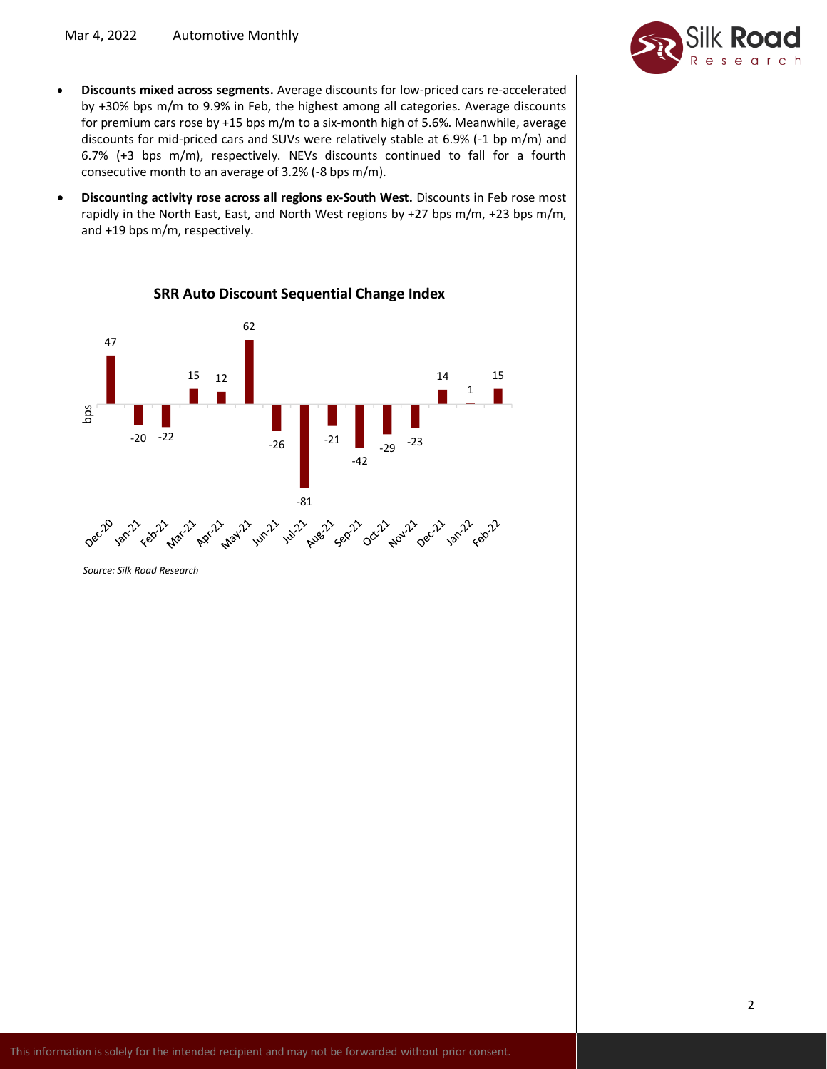## Mar 4, 2022 | Automotive Monthly



- **Discounts mixed across segments.** Average discounts for low-priced cars re-accelerated by +30% bps m/m to 9.9% in Feb, the highest among all categories. Average discounts for premium cars rose by +15 bps m/m to a six-month high of 5.6%. Meanwhile, average discounts for mid-priced cars and SUVs were relatively stable at 6.9% (-1 bp m/m) and 6.7% (+3 bps m/m), respectively. NEVs discounts continued to fall for a fourth consecutive month to an average of 3.2% (-8 bps m/m).
- **Discounting activity rose across all regions ex-South West.** Discounts in Feb rose most rapidly in the North East, East, and North West regions by +27 bps m/m, +23 bps m/m, and +19 bps m/m, respectively.



# **SRR Auto Discount Sequential Change Index**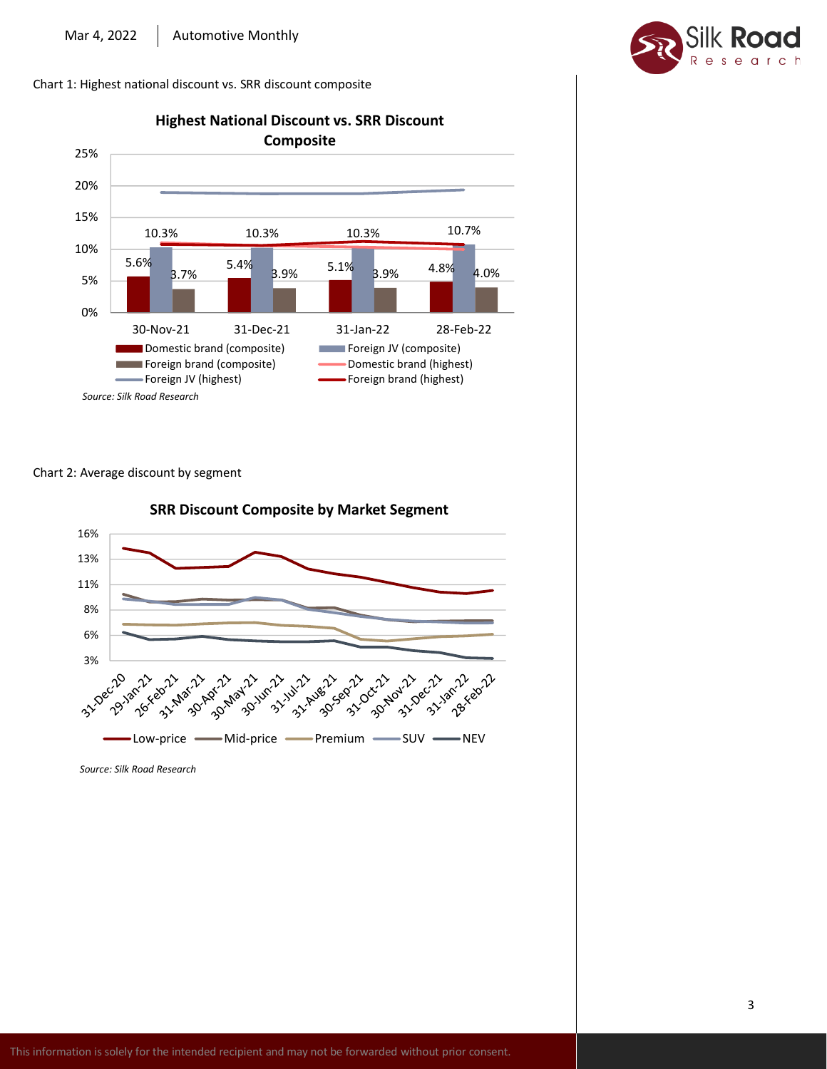Chart 1: Highest national discount vs. SRR discount composite



Chart 2: Average discount by segment



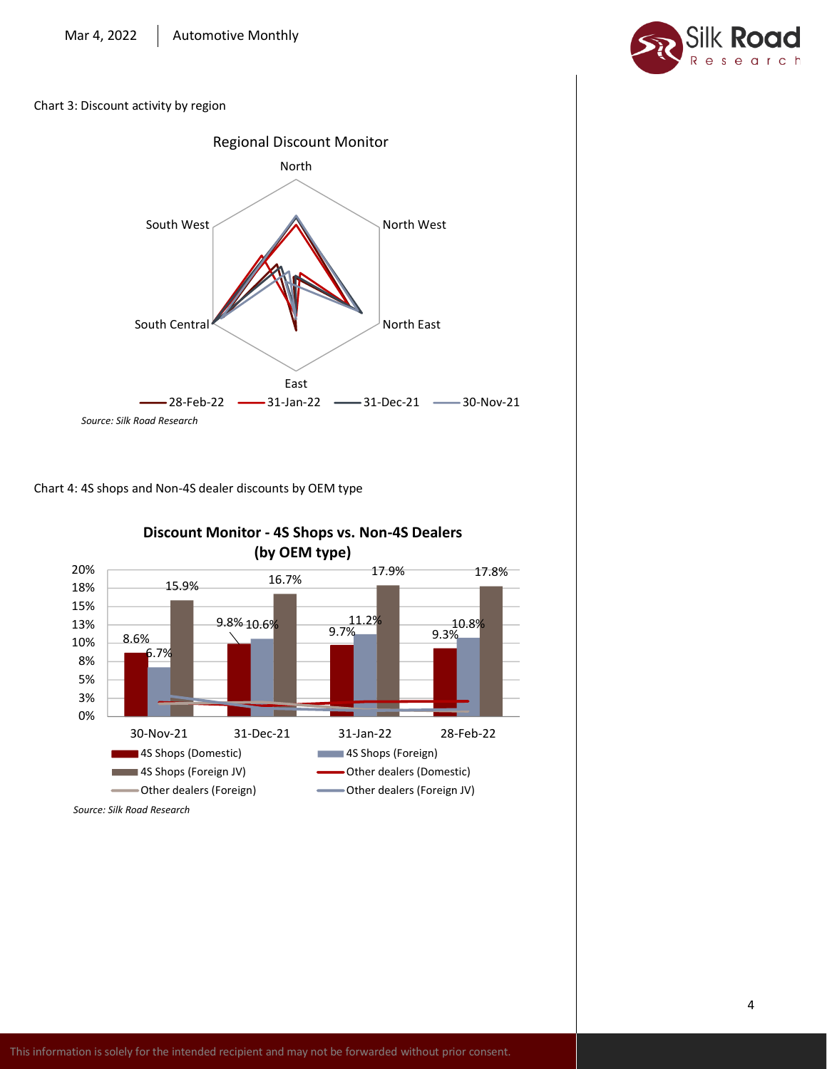

Chart 3: Discount activity by region







# **Discount Monitor - 4S Shops vs. Non-4S Dealers**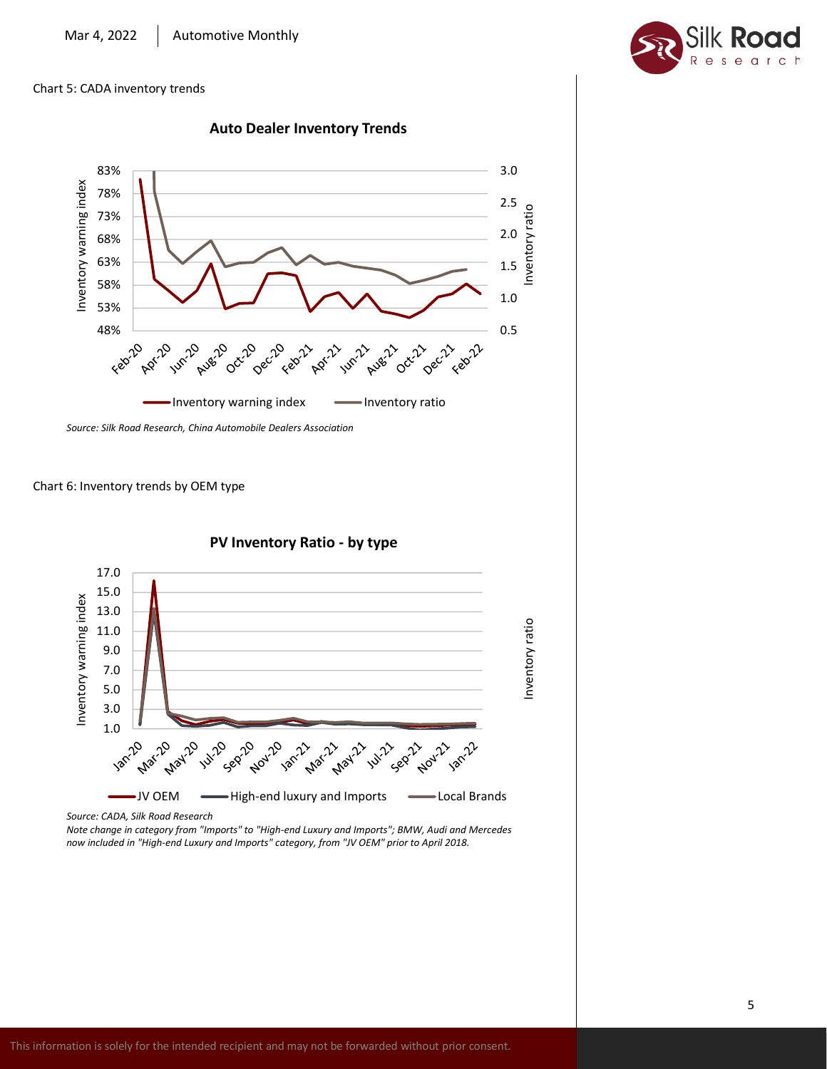#### Chart 5: CADA inventory trends







*Note change in category from "Imports" to "High-end Luxury and Imports"; BMW, Audi and Mercedes now included in "High-end Luxury and Imports" category, from "JV OEM" prior to April 2018.*

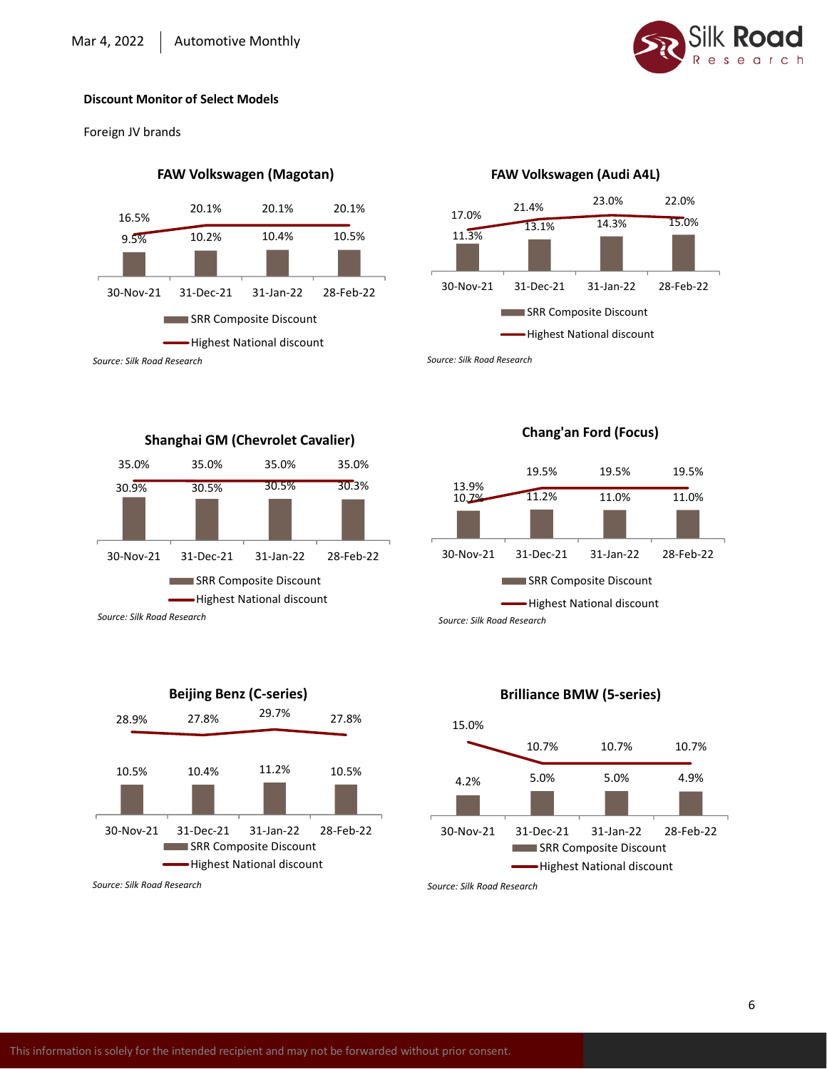

Foreign JV brands

# **FAW Volkswagen (Magotan)**



# **FAW Volkswagen (Audi A4L)**



**Chang'an Ford (Focus)**

*Source: Silk Road Research*

10.7% 11.2% 11.0% 11.0% 13.9% 19.5% 19.5% 19.5% 30-Nov-21 31-Dec-21 31-Jan-22 28-Feb-22 **SRR Composite Discount** Highest National discount





# **Brilliance BMW (5-series)**



*Source: Silk Road Research*

30.9% 30.5% 30.5% 30.3% 30-Nov-21 31-Dec-21 31-Jan-22 28-Feb-22 **SRR Composite Discount** -Highest National discount

35.0% 35.0% 35.0% 35.0%

**Shanghai GM (Chevrolet Cavalier)**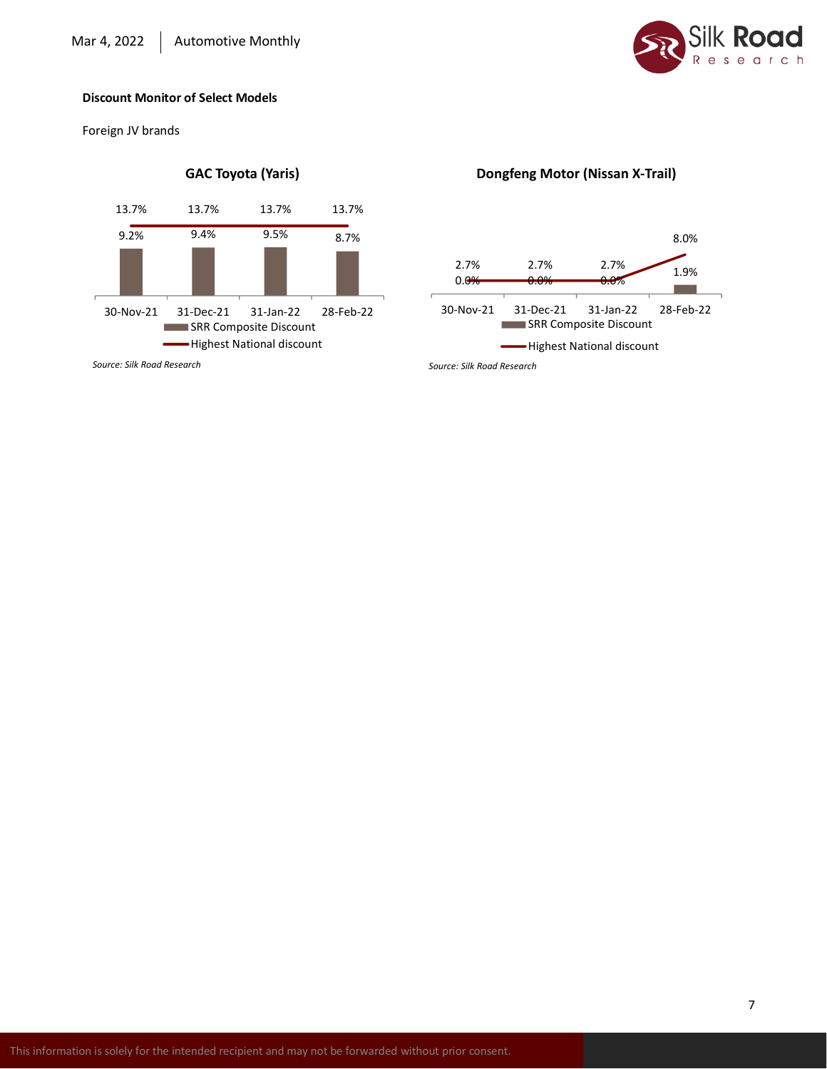

Foreign JV brands



*Source: Silk Road Research*

# **Dongfeng Motor (Nissan X-Trail)**

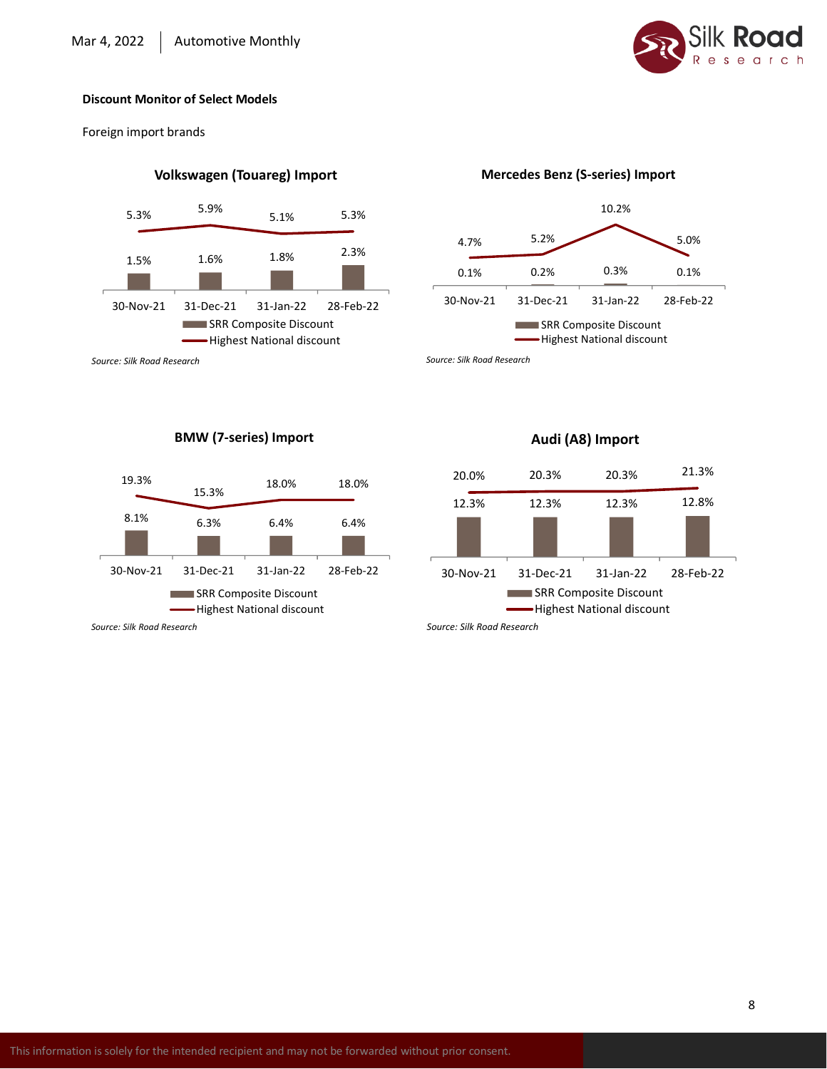

Foreign import brands

# **Volkswagen (Touareg) Import**



#### *Source: Silk Road Research*

# **BMW (7-series) Import**



*Source: Silk Road Research*

#### **Mercedes Benz (S-series) Import**



*Source: Silk Road Research*

# 12.3% 12.3% 12.3% 12.8% 20.0% 20.3% 20.3% 21.3% 30-Nov-21 31-Dec-21 31-Jan-22 28-Feb-22 **SRR Composite Discount** -Highest National discount

**Audi (A8) Import**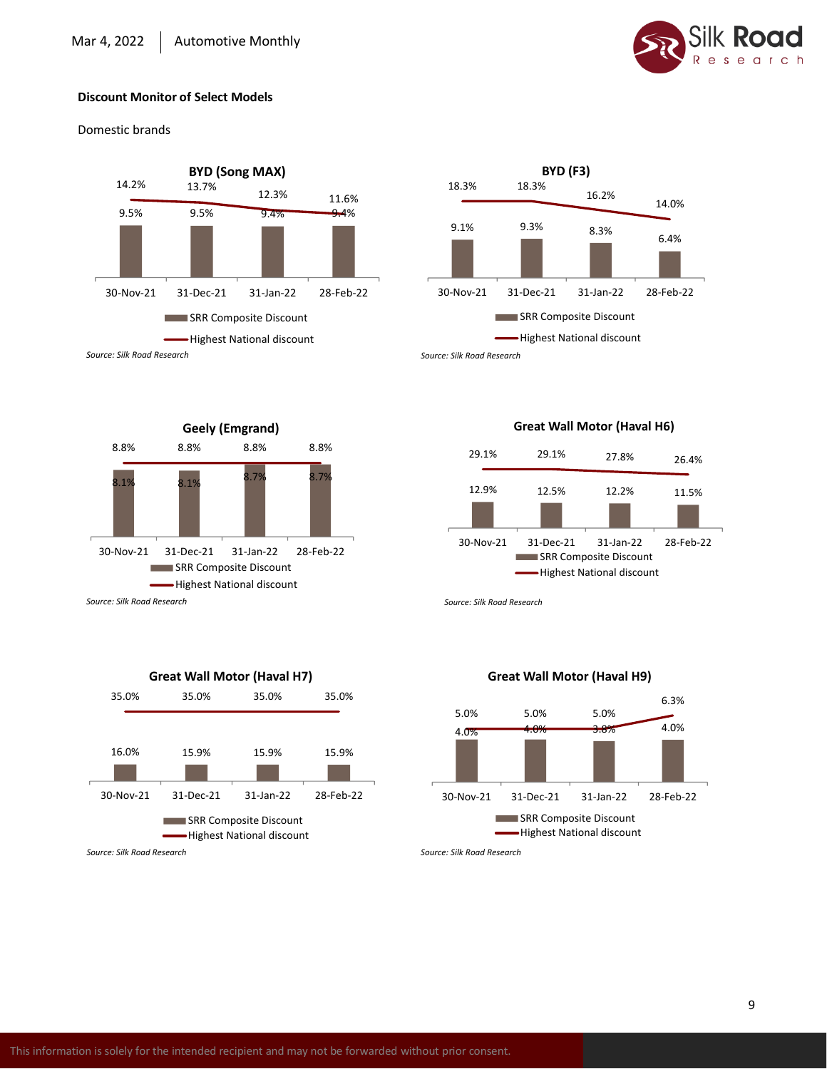

Domestic brands





*Source: Silk Road Research*



#### **Great Wall Motor (Haval H6)**



*Source: Silk Road Research*





*Source: Silk Road Research*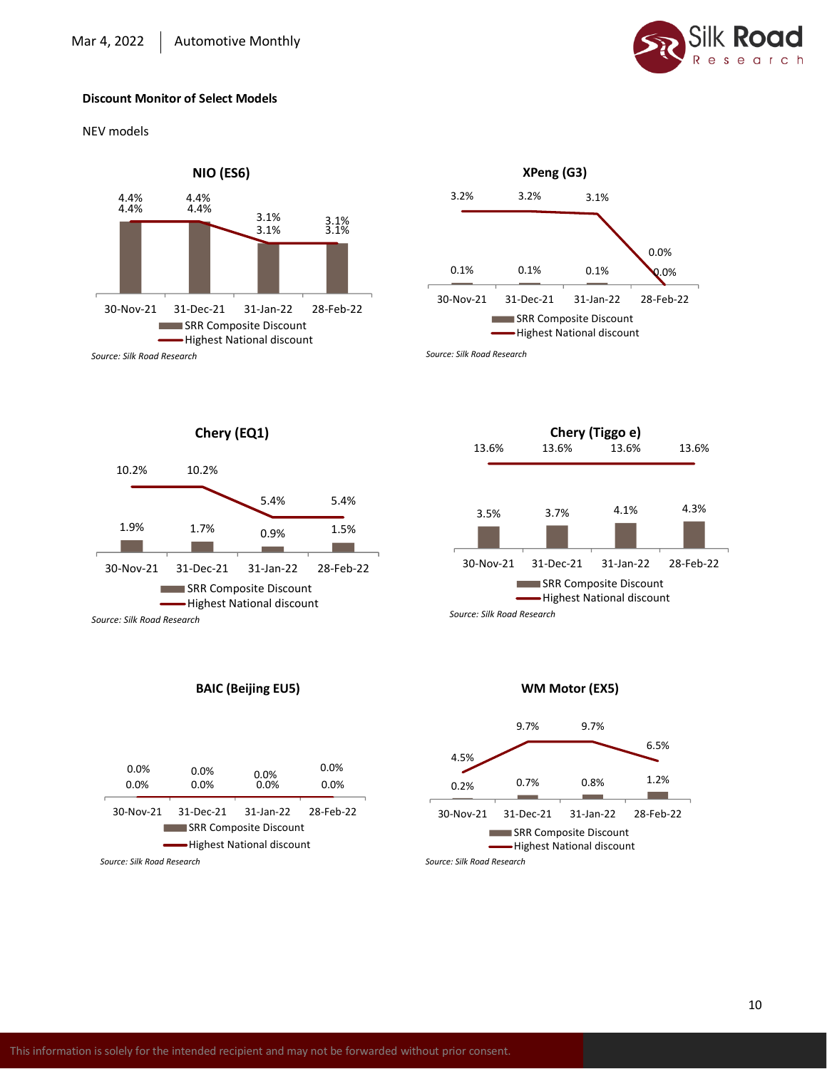

NEV models





*Source: Silk Road Research*



*Source: Silk Road Research*



# **BAIC (Beijing EU5)**

| 0.0%<br>$0.0\%$               | 0.0%<br>0.0% | 0.0%<br>0.0% | 0.0%<br>0.0% |  |  |  |  |
|-------------------------------|--------------|--------------|--------------|--|--|--|--|
| 30-Nov-21                     | 31-Dec-21    | 31-Jan-22    | 28-Feb-22    |  |  |  |  |
| <b>SRR Composite Discount</b> |              |              |              |  |  |  |  |
| -Highest National discount    |              |              |              |  |  |  |  |



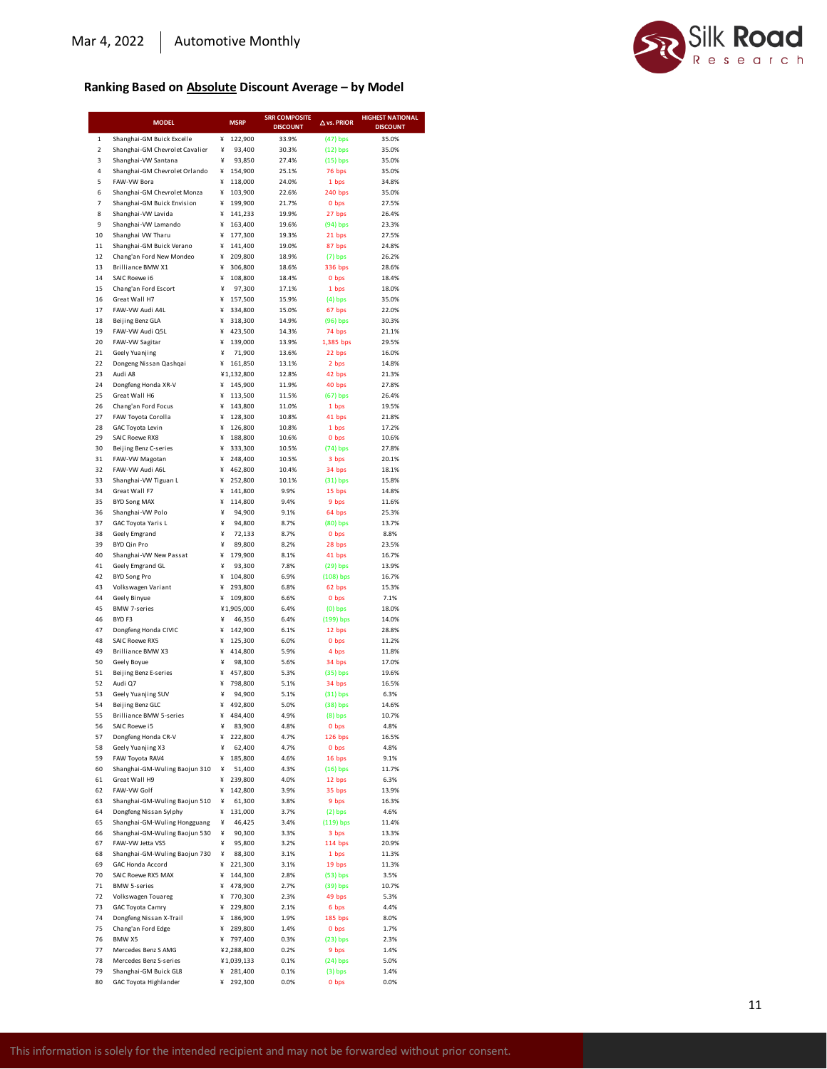# Silk Road

# **Ranking Based on Absolute Discount Average – by Model**

|                         | <b>MODEL</b>                                         |        | <b>MSRP</b>           | <b>SRR COMPOSITE</b><br><b>DISCOUNT</b> | $\Delta$ vs. PRIOR     | <b>HIGHEST NATIONAL</b><br><b>DISCOUNT</b> |
|-------------------------|------------------------------------------------------|--------|-----------------------|-----------------------------------------|------------------------|--------------------------------------------|
| $\mathbf 1$             | Shanghai-GM Buick Excelle                            | ¥      | 122,900               | 33.9%                                   | $(47)$ bps             | 35.0%                                      |
| $\overline{\mathbf{c}}$ | Shanghai-GM Chevrolet Cavalier                       | ¥      | 93,400                | 30.3%                                   | $(12)$ bps             | 35.0%                                      |
| 3                       | Shanghai-VW Santana                                  | ¥      | 93,850                | 27.4%                                   | $(15)$ bps             | 35.0%                                      |
| 4                       | Shanghai-GM Chevrolet Orlando                        | ¥      | 154,900               | 25.1%                                   | 76 bps                 | 35.0%                                      |
| 5<br>6                  | FAW-VW Bora<br>Shanghai-GM Chevrolet Monza           | ¥<br>¥ | 118,000<br>103,900    | 24.0%<br>22.6%                          | 1 bps<br>240 bps       | 34.8%<br>35.0%                             |
| 7                       | Shanghai-GM Buick Envision                           | ¥      | 199,900               | 21.7%                                   | 0 bps                  | 27.5%                                      |
| 8                       | Shanghai-VW Lavida                                   | ¥      | 141,233               | 19.9%                                   | 27 bps                 | 26.4%                                      |
| 9                       | Shanghai-VW Lamando                                  | ¥      | 163,400               | 19.6%                                   | (94) bps               | 23.3%                                      |
| 10                      | Shanghai VW Tharu                                    | ¥      | 177,300               | 19.3%                                   | 21 bps                 | 27.5%                                      |
| 11<br>12                | Shanghai-GM Buick Verano<br>Chang'an Ford New Mondeo | ¥<br>¥ | 141,400<br>209,800    | 19.0%<br>18.9%                          | 87 bps<br>$(7)$ bps    | 24.8%<br>26.2%                             |
| 13                      | Brilliance BMW X1                                    | ¥      | 306,800               | 18.6%                                   | 336 bps                | 28.6%                                      |
| 14                      | SAIC Roewe i6                                        | ¥      | 108,800               | 18.4%                                   | 0 bps                  | 18.4%                                      |
| 15                      | Chang'an Ford Escort                                 | ¥      | 97,300                | 17.1%                                   | 1 bps                  | 18.0%                                      |
| 16                      | Great Wall H7                                        | ¥<br>¥ | 157,500               | 15.9%                                   | $(4)$ bps              | 35.0%                                      |
| 17<br>18                | FAW-VW Audi A4L<br>Beijing Benz GLA                  | ¥      | 334,800<br>318,300    | 15.0%<br>14.9%                          | 67 bps<br>$(96)$ bps   | 22.0%<br>30.3%                             |
| 19                      | FAW-VW Audi Q5L                                      | ¥      | 423,500               | 14.3%                                   | 74 bps                 | 21.1%                                      |
| 20                      | FAW-VW Sagitar                                       | ¥      | 139,000               | 13.9%                                   | 1,385 bps              | 29.5%                                      |
| 21                      | Geely Yuanjing                                       | ¥      | 71,900                | 13.6%                                   | 22 bps                 | 16.0%                                      |
| 22<br>23                | Dongeng Nissan Qashqai<br>Audi A8                    | ¥      | 161,850<br>¥1,132,800 | 13.1%<br>12.8%                          | 2 bps                  | 14.8%<br>21.3%                             |
| 24                      | Dongfeng Honda XR-V                                  | ¥      | 145,900               | 11.9%                                   | 42 bps<br>40 bps       | 27.8%                                      |
| 25                      | Great Wall H6                                        | ¥      | 113,500               | 11.5%                                   | $(67)$ bps             | 26.4%                                      |
| 26                      | Chang'an Ford Focus                                  | ¥      | 143,800               | 11.0%                                   | 1 bps                  | 19.5%                                      |
| 27                      | FAW Toyota Corolla                                   | ¥      | 128,300               | 10.8%                                   | 41 bps                 | 21.8%                                      |
| 28<br>29                | GAC Toyota Levin<br>SAIC Roewe RX8                   | ¥<br>¥ | 126,800<br>188,800    | 10.8%<br>10.6%                          | 1 bps<br>0 bps         | 17.2%<br>10.6%                             |
| 30                      | Beijing Benz C-series                                | ¥      | 333,300               | 10.5%                                   | $(74)$ bps             | 27.8%                                      |
| 31                      | FAW-VW Magotan                                       | ¥      | 248,400               | 10.5%                                   | 3 bps                  | 20.1%                                      |
| 32                      | FAW-VW Audi A6L                                      | ¥      | 462,800               | 10.4%                                   | 34 bps                 | 18.1%                                      |
| 33                      | Shanghai-VW Tiguan L                                 | ¥      | 252,800               | 10.1%                                   | $(31)$ bps             | 15.8%                                      |
| 34<br>35                | Great Wall F7<br><b>BYD Song MAX</b>                 | ¥<br>¥ | 141,800<br>114,800    | 9.9%<br>9.4%                            | 15 bps<br>9 bps        | 14.8%<br>11.6%                             |
| 36                      | Shanghai-VW Polo                                     | ¥      | 94,900                | 9.1%                                    | 64 bps                 | 25.3%                                      |
| 37                      | GAC Toyota Yaris L                                   | ¥      | 94,800                | 8.7%                                    | (80) bps               | 13.7%                                      |
| 38                      | Geely Emgrand                                        | ¥      | 72,133                | 8.7%                                    | 0 bps                  | 8.8%                                       |
| 39<br>40                | <b>BYD Qin Pro</b>                                   | ¥<br>¥ | 89,800                | 8.2%                                    | 28 bps                 | 23.5%                                      |
| 41                      | Shanghai-VW New Passat<br>Geely Emgrand GL           | ¥      | 179,900<br>93,300     | 8.1%<br>7.8%                            | 41 bps<br>$(29)$ bps   | 16.7%<br>13.9%                             |
| 42                      | <b>BYD Song Pro</b>                                  | ¥      | 104,800               | 6.9%                                    | $(108)$ bps            | 16.7%                                      |
| 43                      | Volkswagen Variant                                   | ¥      | 293,800               | 6.8%                                    | 62 bps                 | 15.3%                                      |
| 44                      | Geely Binyue                                         | ¥      | 109,800               | 6.6%                                    | 0 bps                  | 7.1%                                       |
| 45<br>46                | <b>BMW 7-series</b><br>BYD F3                        | ¥      | ¥1,905,000<br>46,350  | 6.4%<br>6.4%                            | $(0)$ bps<br>(199) bps | 18.0%<br>14.0%                             |
| 47                      | Dongfeng Honda CIVIC                                 | ¥      | 142,900               | 6.1%                                    | 12 bps                 | 28.8%                                      |
| 48                      | <b>SAIC Roewe RX5</b>                                | ¥      | 125,300               | 6.0%                                    | 0 bps                  | 11.2%                                      |
| 49                      | Brilliance BMW X3                                    | ¥      | 414,800               | 5.9%                                    | 4 bps                  | 11.8%                                      |
| 50                      | Geely Boyue                                          | ¥      | 98,300                | 5.6%                                    | 34 bps                 | 17.0%                                      |
| 51<br>52                | Beijing Benz E-series<br>Audi Q7                     | ¥<br>¥ | 457,800<br>798,800    | 5.3%<br>5.1%                            | $(35)$ bps<br>34 bps   | 19.6%<br>16.5%                             |
| 53                      | Geely Yuanjing SUV                                   | ¥      | 94,900                | 5.1%                                    | $(31)$ bps             | 6.3%                                       |
| 54                      | Beijing Benz GLC                                     | ¥      | 492,800               | 5.0%                                    | $(38)$ bps             | 14.6%                                      |
| 55                      | <b>Brilliance BMW 5-series</b>                       | ¥      | 484,400               | 4.9%                                    | $(8)$ bps              | 10.7%                                      |
| 56<br>57                | SAIC Roewe i5<br>Dongfeng Honda CR-V                 | ¥<br>¥ | 83,900<br>222,800     | 4.8%<br>4.7%                            | 0 bps<br>126 bps       | 4.8%<br>16.5%                              |
| 58                      | Geely Yuanjing X3                                    | ¥      | 62,400                | 4.7%                                    | 0 <sub>bps</sub>       | 4.8%                                       |
| 59                      | FAW Toyota RAV4                                      | ¥      | 185,800               | 4.6%                                    | 16 bps                 | 9.1%                                       |
| 60                      | Shanghai-GM-Wuling Baojun 310                        | ¥      | 51,400                | 4.3%                                    | $(16)$ bps             | 11.7%                                      |
| 61                      | Great Wall H9                                        | ¥      | 239,800               | 4.0%                                    | 12 bps                 | 6.3%                                       |
| 62<br>63                | FAW-VW Golf<br>Shanghai-GM-Wuling Baojun 510         | ¥<br>¥ | 142,800<br>61,300     | 3.9%<br>3.8%                            | 35 bps<br>9 bps        | 13.9%<br>16.3%                             |
| 64                      | Dongfeng Nissan Sylphy                               | ¥      | 131,000               | 3.7%                                    | $(2)$ bps              | 4.6%                                       |
| 65                      | Shanghai-GM-Wuling Hongguang                         | ¥      | 46,425                | 3.4%                                    | $(119)$ bps            | 11.4%                                      |
| 66                      | Shanghai-GM-Wuling Baojun 530                        | ¥      | 90,300                | 3.3%                                    | 3 bps                  | 13.3%                                      |
| 67                      | FAW-VW Jetta VS5                                     | ¥      | 95,800                | 3.2%                                    | 114 bps                | 20.9%                                      |
| 68<br>69                | Shanghai-GM-Wuling Baojun 730<br>GAC Honda Accord    | ¥<br>¥ | 88,300<br>221,300     | 3.1%<br>3.1%                            | 1 bps<br>19 bps        | 11.3%<br>11.3%                             |
| 70                      | SAIC Roewe RX5 MAX                                   | ¥      | 144,300               | 2.8%                                    | $(53)$ bps             | 3.5%                                       |
| 71                      | <b>BMW 5-series</b>                                  | ¥      | 478,900               | 2.7%                                    | $(39)$ bps             | 10.7%                                      |
| 72                      | Volkswagen Touareg                                   | ¥      | 770,300               | 2.3%                                    | 49 bps                 | 5.3%                                       |
| 73                      | GAC Toyota Camry                                     | ¥      | 229,800               | 2.1%                                    | 6 bps                  | 4.4%                                       |
| 74<br>75                | Dongfeng Nissan X-Trail<br>Chang'an Ford Edge        | ¥<br>¥ | 186,900<br>289,800    | 1.9%<br>1.4%                            | 185 bps<br>0 bps       | 8.0%<br>1.7%                               |
| 76                      | BMW X5                                               | ¥      | 797,400               | 0.3%                                    | $(23)$ bps             | 2.3%                                       |
| 77                      | Mercedes Benz S AMG                                  |        | ¥2,288,800            | 0.2%                                    | 9 bps                  | 1.4%                                       |
| 78                      | Mercedes Benz S-series                               |        | ¥1,039,133            | 0.1%                                    | $(24)$ bps             | 5.0%                                       |
| 79<br>80                | Shanghai-GM Buick GL8<br>GAC Toyota Highlander       | ¥<br>¥ | 281,400               | 0.1%<br>0.0%                            | $(3)$ bps              | 1.4%<br>0.0%                               |
|                         |                                                      |        | 292,300               |                                         | 0 bps                  |                                            |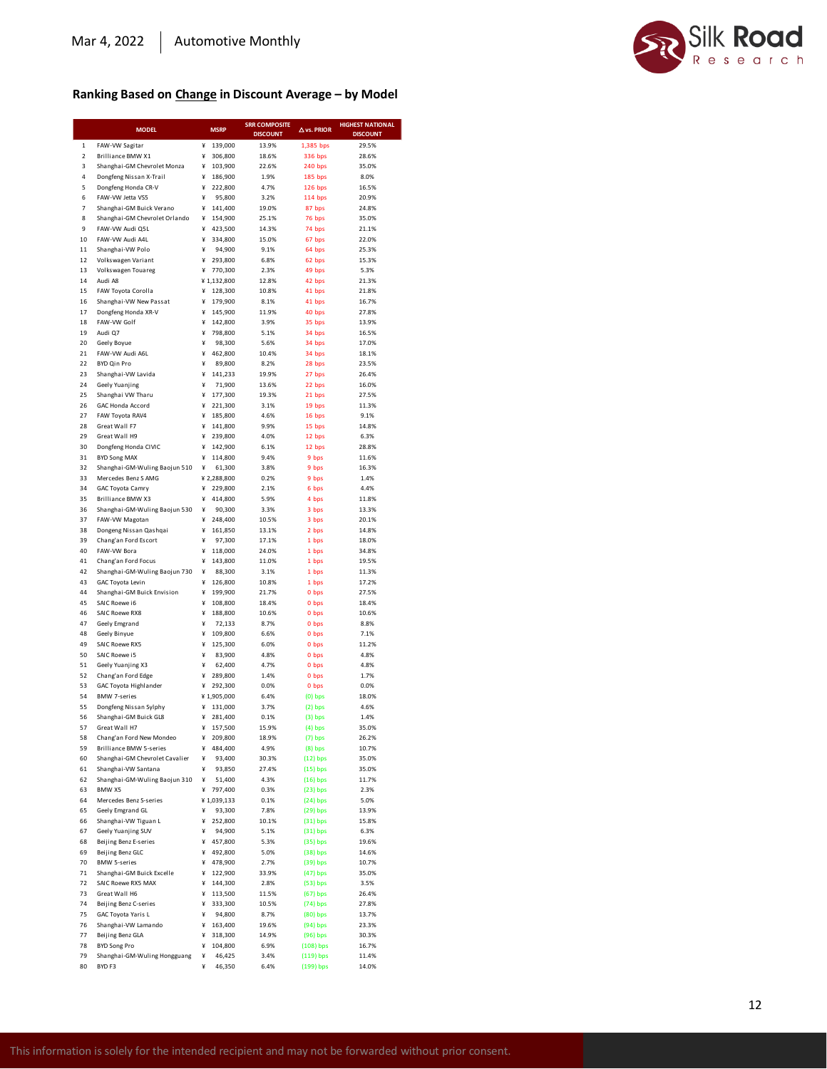

#### **Ranking Based on Change in Discount Average – by Model**

|                     | <b>MODEL</b>                                              | <b>MSRP</b>                  | <b>SRR COMPOSITE</b> | $\Delta$ vs. PRIOR       | <b>HIGHEST NATIONAL</b> |
|---------------------|-----------------------------------------------------------|------------------------------|----------------------|--------------------------|-------------------------|
|                     |                                                           |                              | <b>DISCOUNT</b>      |                          | <b>DISCOUNT</b>         |
| 1<br>$\mathbf 2$    | FAW-VW Sagitar<br>Brilliance BMW X1                       | ¥<br>139,000<br>¥<br>306,800 | 13.9%<br>18.6%       | 1,385 bps<br>336 bps     | 29.5%<br>28.6%          |
| 3                   | Shanghai-GM Chevrolet Monza                               | ¥<br>103,900                 | 22.6%                | 240 bps                  | 35.0%                   |
| 4                   | Dongfeng Nissan X-Trail                                   | ¥<br>186,900                 | 1.9%                 | 185 bps                  | 8.0%                    |
| 5                   | Dongfeng Honda CR-V                                       | ¥<br>222.800                 | 4.7%                 | $126$ bps                | 16.5%                   |
| 6                   | FAW-VW Jetta VS5                                          | ¥<br>95,800                  | 3.2%                 | 114 bps                  | 20.9%                   |
| $\overline{7}$<br>8 | Shanghai-GM Buick Verano<br>Shanghai-GM Chevrolet Orlando | 141,400<br>¥<br>¥<br>154,900 | 19.0%<br>25.1%       | 87 bps<br>76 bps         | 24.8%<br>35.0%          |
| 9                   | FAW-VW Audi Q5L                                           | ¥<br>423,500                 | 14.3%                | 74 bps                   | 21.1%                   |
| 10                  | FAW-VW Audi A4L                                           | ¥<br>334,800                 | 15.0%                | 67 bps                   | 22.0%                   |
| 11                  | Shanghai-VW Polo                                          | ¥<br>94,900                  | 9.1%                 | 64 bps                   | 25.3%                   |
| 12                  | Volkswagen Variant                                        | ¥<br>293,800                 | 6.8%                 | 62 bps                   | 15.3%                   |
| 13                  | Volkswagen Touareg                                        | 770.300<br>¥                 | 2.3%                 | 49 bps                   | 5.3%                    |
| 14<br>15            | Audi A8<br>FAW Toyota Corolla                             | ¥1,132,800<br>¥<br>128,300   | 12.8%<br>10.8%       | 42 bps<br>41 bps         | 21.3%<br>21.8%          |
| 16                  | Shanghai-VW New Passat                                    | 179,900<br>¥                 | 8.1%                 | 41 bps                   | 16.7%                   |
| 17                  | Dongfeng Honda XR-V                                       | ¥<br>145,900                 | 11.9%                | 40 bps                   | 27.8%                   |
| 18                  | FAW-VW Golf                                               | ¥<br>142,800                 | 3.9%                 | 35 bps                   | 13.9%                   |
| 19                  | Audi Q7                                                   | ¥<br>798,800                 | 5.1%                 | 34 bps                   | 16.5%                   |
| 20                  | Geely Boyue                                               | 98,300<br>¥<br>¥             | 5.6%                 | 34 bps                   | 17.0%                   |
| 21<br>22            | FAW-VW Audi A6L<br>BYD Qin Pro                            | 462,800<br>¥<br>89,800       | 10.4%<br>8.2%        | 34 bps<br>28 bps         | 18.1%<br>23.5%          |
| 23                  | Shanghai-VW Lavida                                        | 141,233<br>¥                 | 19.9%                | 27 bps                   | 26.4%                   |
| 24                  | Geely Yuanjing                                            | ¥<br>71,900                  | 13.6%                | 22 bps                   | 16.0%                   |
| 25                  | Shanghai VW Tharu                                         | ¥<br>177,300                 | 19.3%                | 21 bps                   | 27.5%                   |
| 26                  | GAC Honda Accord                                          | ¥<br>221,300                 | 3.1%                 | 19 bps                   | 11.3%                   |
| 27                  | FAW Toyota RAV4                                           | ¥<br>185,800                 | 4.6%                 | 16 bps                   | 9.1%                    |
| 28<br>29            | Great Wall F7<br>Great Wall H9                            | ¥<br>141.800<br>¥<br>239,800 | 9.9%<br>4.0%         | 15 bps<br>12 bps         | 14.8%<br>6.3%           |
| 30                  | Dongfeng Honda CIVIC                                      | 142,900<br>¥                 | 6.1%                 | 12 bps                   | 28.8%                   |
| 31                  | <b>BYD Song MAX</b>                                       | ¥<br>114,800                 | 9.4%                 | 9 bps                    | 11.6%                   |
| 32                  | Shanghai-GM-Wuling Baojun 510                             | ¥<br>61,300                  | 3.8%                 | 9 bps                    | 16.3%                   |
| 33                  | Mercedes Benz S AMG                                       | ¥2,288,800                   | 0.2%                 | 9 bps                    | 1.4%                    |
| 34                  | GAC Toyota Camry                                          | ¥<br>229,800                 | 2.1%                 | 6 bps                    | 4.4%                    |
| 35<br>36            | <b>Brilliance BMW X3</b><br>Shanghai-GM-Wuling Baojun 530 | ¥<br>414,800<br>¥<br>90,300  | 5.9%<br>3.3%         | 4 bps<br>3 bps           | 11.8%<br>13.3%          |
| 37                  | FAW-VW Magotan                                            | 248,400<br>¥                 | 10.5%                | 3 bps                    | 20.1%                   |
| 38                  | Dongeng Nissan Qashqai                                    | ¥<br>161,850                 | 13.1%                | 2 bps                    | 14.8%                   |
| 39                  | Chang'an Ford Escort                                      | ¥<br>97,300                  | 17.1%                | 1 bps                    | 18.0%                   |
| 40                  | FAW-VW Bora                                               | ¥<br>118,000                 | 24.0%                | 1 bps                    | 34.8%                   |
| 41<br>42            | Chang'an Ford Focus<br>Shanghai-GM-Wuling Baojun 730      | ¥<br>143,800<br>¥<br>88,300  | 11.0%<br>3.1%        | 1 bps                    | 19.5%<br>11.3%          |
| 43                  | GAC Toyota Levin                                          | ¥<br>126,800                 | 10.8%                | 1 bps<br>1 bps           | 17.2%                   |
| 44                  | Shanghai-GM Buick Envision                                | ¥<br>199,900                 | 21.7%                | 0 bps                    | 27.5%                   |
| 45                  | SAIC Roewe i6                                             | ¥<br>108,800                 | 18.4%                | 0 bps                    | 18.4%                   |
| 46                  | <b>SAIC Roewe RX8</b>                                     | ¥<br>188,800                 | 10.6%                | 0 bps                    | 10.6%                   |
| 47                  | Geely Emgrand                                             | ¥<br>72,133                  | 8.7%                 | 0 bps                    | 8.8%                    |
| 48<br>49            | Geely Binyue<br><b>SAIC Roewe RX5</b>                     | ¥<br>109,800<br>¥<br>125,300 | 6.6%<br>6.0%         | 0 bps<br>0 bps           | 7.1%<br>11.2%           |
| 50                  | SAIC Roewe i5                                             | ¥<br>83,900                  | 4.8%                 | 0 bps                    | 4.8%                    |
| 51                  | Geely Yuanjing X3                                         | ¥<br>62,400                  | 4.7%                 | 0 bps                    | 4.8%                    |
| 52                  | Chang'an Ford Edge                                        | ¥<br>289,800                 | 1.4%                 | 0 bps                    | 1.7%                    |
| 53                  | <b>GAC Toyota Highlander</b>                              | 292,300<br>¥                 | 0.0%                 | 0 bps                    | 0.0%                    |
| 54<br>55            | <b>BMW 7-series</b>                                       | ¥1,905,000<br>¥              | 6.4%<br>3.7%         | $(0)$ bps                | 18.0%<br>4.6%           |
| 56                  | Dongfeng Nissan Sylphy<br>Shanghai-GM Buick GL8           | 131,000<br>¥<br>281,400      | 0.1%                 | $(2)$ bps<br>$(3)$ bps   | 1.4%                    |
| 57                  | Great Wall H7                                             | ¥<br>157,500                 | 15.9%                | $(4)$ bps                | 35.0%                   |
| 58                  | Chang'an Ford New Mondeo                                  | ¥<br>209,800                 | 18.9%                | $(7)$ bps                | 26.2%                   |
| 59                  | Brilliance BMW 5-series                                   | ¥<br>484,400                 | 4.9%                 | $(8)$ bps                | 10.7%                   |
| 60                  | Shanghai-GM Chevrolet Cavalier                            | 93,400<br>¥                  | 30.3%                | $(12)$ bps               | 35.0%                   |
| 61<br>62            | Shanghai-VW Santana<br>Shanghai-GM-Wuling Baojun 310      | ¥<br>93,850<br>¥<br>51,400   | 27.4%<br>4.3%        | $(15)$ bps<br>$(16)$ bps | 35.0%<br>11.7%          |
| 63                  | BMW X5                                                    | ¥<br>797,400                 | 0.3%                 | $(23)$ bps               | 2.3%                    |
| 64                  | Mercedes Benz S-series                                    | ¥1,039,133                   | 0.1%                 | $(24)$ bps               | 5.0%                    |
| 65                  | Geely Emgrand GL                                          | ¥<br>93,300                  | 7.8%                 | $(29)$ bps               | 13.9%                   |
| 66                  | Shanghai-VW Tiguan L                                      | 252,800<br>¥                 | 10.1%                | $(31)$ bps               | 15.8%                   |
| 67                  | Geely Yuanjing SUV                                        | 94,900<br>¥                  | 5.1%                 | $(31)$ bps               | 6.3%                    |
| 68<br>69            | Beijing Benz E-series<br>Beijing Benz GLC                 | ¥ 457,800<br>492,800<br>¥    | 5.3%<br>5.0%         | $(35)$ bps<br>(38) bps   | 19.6%<br>14.6%          |
| 70                  | <b>BMW 5-series</b>                                       | ¥<br>478,900                 | 2.7%                 | $(39)$ bps               | 10.7%                   |
| 71                  | Shanghai-GM Buick Excelle                                 | ¥<br>122,900                 | 33.9%                | $(47)$ bps               | 35.0%                   |
| 72                  | SAIC Roewe RX5 MAX                                        | ¥<br>144,300                 | 2.8%                 | $(53)$ bps               | 3.5%                    |
| 73                  | Great Wall H6                                             | ¥<br>113,500                 | 11.5%                | $(67)$ bps               | 26.4%                   |
| 74                  | Beijing Benz C-series                                     | ¥<br>333,300<br>¥            | 10.5%                | $(74)$ bps               | 27.8%                   |
| 75<br>76            | GAC Toyota Yaris L<br>Shanghai-VW Lamando                 | 94,800<br>163,400<br>¥       | 8.7%<br>19.6%        | (80) bps<br>$(94)$ bps   | 13.7%<br>23.3%          |
| 77                  | Beijing Benz GLA                                          | ¥<br>318,300                 | 14.9%                | $(96)$ bps               | 30.3%                   |
| 78                  | <b>BYD Song Pro</b>                                       | ¥<br>104,800                 | 6.9%                 | (108) bps                | 16.7%                   |
| 79                  | Shanghai-GM-Wuling Hongguang                              | ¥<br>46,425                  | 3.4%                 | $(119)$ bps              | 11.4%                   |
| 80                  | BYD F3                                                    | ¥<br>46,350                  | 6.4%                 | (199) bps                | 14.0%                   |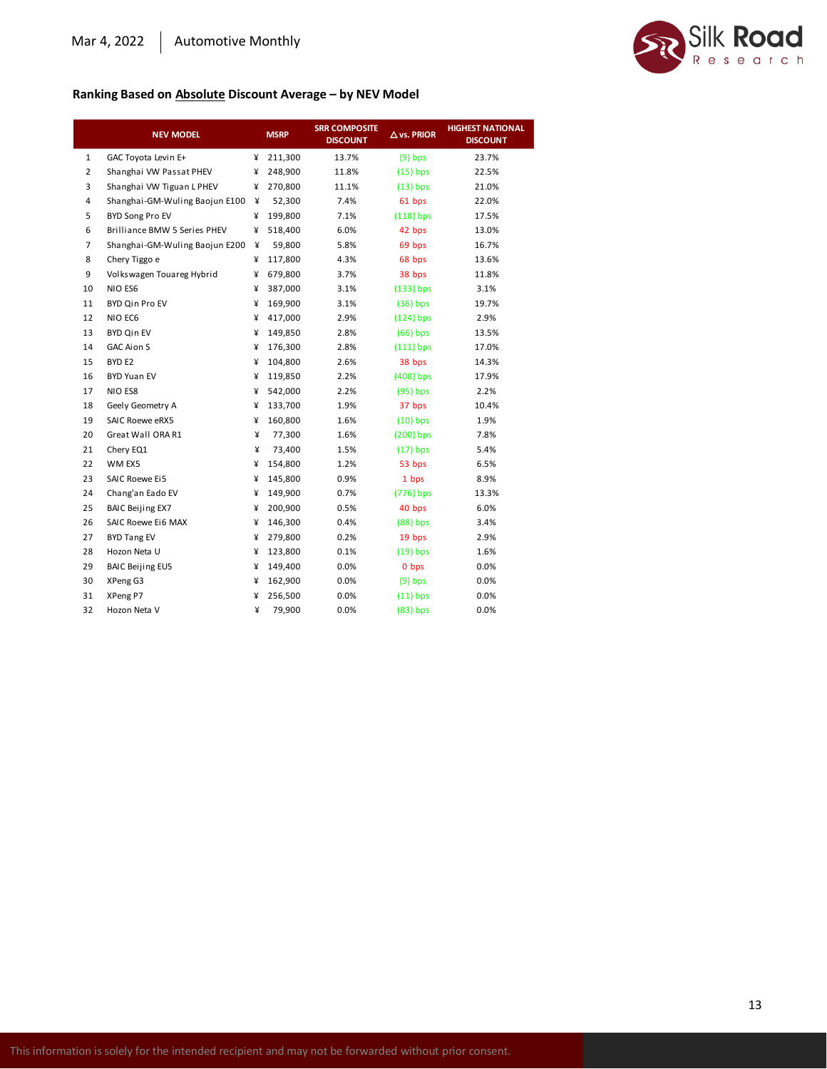

#### **Ranking Based on Absolute Discount Average – by NEV Model**

|                | <b>NEV MODEL</b>               |   | <b>MSRP</b> | <b>SRR COMPOSITE</b><br><b>DISCOUNT</b> | $\Delta$ vs. PRIOR | <b>HIGHEST NATIONAL</b><br><b>DISCOUNT</b> |
|----------------|--------------------------------|---|-------------|-----------------------------------------|--------------------|--------------------------------------------|
| $\mathbf{1}$   | GAC Toyota Levin E+            | ¥ | 211,300     | 13.7%                                   | $(9)$ bps          | 23.7%                                      |
| $\overline{2}$ | Shanghai VW Passat PHEV        | ¥ | 248,900     | 11.8%                                   | $(15)$ bps         | 22.5%                                      |
| 3              | Shanghai VW Tiguan L PHEV      | ¥ | 270,800     | 11.1%                                   | $(13)$ bps         | 21.0%                                      |
| 4              | Shanghai-GM-Wuling Baojun E100 | ¥ | 52,300      | 7.4%                                    | 61 bps             | 22.0%                                      |
| 5              | BYD Song Pro EV                | ¥ | 199,800     | 7.1%                                    | $(118)$ bps        | 17.5%                                      |
| 6              | Brilliance BMW 5 Series PHEV   | ¥ | 518,400     | 6.0%                                    | 42 bps             | 13.0%                                      |
| $\overline{7}$ | Shanghai-GM-Wuling Baojun E200 | ¥ | 59,800      | 5.8%                                    | 69 bps             | 16.7%                                      |
| 8              | Chery Tiggo e                  | ¥ | 117,800     | 4.3%                                    | 68 bps             | 13.6%                                      |
| 9              | Volkswagen Touareg Hybrid      | ¥ | 679,800     | 3.7%                                    | 38 bps             | 11.8%                                      |
| 10             | NIO ES6                        | ¥ | 387,000     | 3.1%                                    | $(133)$ bps        | 3.1%                                       |
| 11             | <b>BYD Qin Pro EV</b>          | ¥ | 169,900     | 3.1%                                    | $(36)$ bps         | 19.7%                                      |
| 12             | NIO EC6                        | ¥ | 417,000     | 2.9%                                    | $(124)$ bps        | 2.9%                                       |
| 13             | <b>BYD Qin EV</b>              | ¥ | 149,850     | 2.8%                                    | $(66)$ bps         | 13.5%                                      |
| 14             | <b>GAC Aion S</b>              | ¥ | 176,300     | 2.8%                                    | $(111)$ bps        | 17.0%                                      |
| 15             | BYD <sub>E2</sub>              | ¥ | 104,800     | 2.6%                                    | 38 bps             | 14.3%                                      |
| 16             | <b>BYD Yuan EV</b>             | ¥ | 119,850     | 2.2%                                    | $(408)$ bps        | 17.9%                                      |
| 17             | NIO ES8                        | ¥ | 542,000     | 2.2%                                    | $(95)$ bps         | 2.2%                                       |
| 18             | Geely Geometry A               | ¥ | 133,700     | 1.9%                                    | 37 bps             | 10.4%                                      |
| 19             | <b>SAIC Roewe eRX5</b>         | ¥ | 160,800     | 1.6%                                    | $(10)$ bps         | 1.9%                                       |
| 20             | Great Wall ORA R1              | ¥ | 77,300      | 1.6%                                    | $(200)$ bps        | 7.8%                                       |
| 21             | Chery EQ1                      | ¥ | 73,400      | 1.5%                                    | $(17)$ bps         | 5.4%                                       |
| 22             | WM EX5                         | ¥ | 154,800     | 1.2%                                    | 53 bps             | 6.5%                                       |
| 23             | <b>SAIC Roewe Ei5</b>          | ¥ | 145,800     | 0.9%                                    | 1 bps              | 8.9%                                       |
| 24             | Chang'an Eado EV               | ¥ | 149,900     | 0.7%                                    | (776) bps          | 13.3%                                      |
| 25             | <b>BAIC Beijing EX7</b>        | ¥ | 200,900     | 0.5%                                    | 40 bps             | 6.0%                                       |
| 26             | SAIC Roewe Ei6 MAX             | ¥ | 146,300     | 0.4%                                    | $(88)$ bps         | 3.4%                                       |
| 27             | <b>BYD Tang EV</b>             | ¥ | 279,800     | 0.2%                                    | 19 bps             | 2.9%                                       |
| 28             | Hozon Neta U                   | ¥ | 123,800     | 0.1%                                    | $(19)$ bps         | 1.6%                                       |
| 29             | <b>BAIC Beijing EU5</b>        | ¥ | 149,400     | 0.0%                                    | 0 bps              | 0.0%                                       |
| 30             | XPeng G3                       | ¥ | 162,900     | 0.0%                                    | $(9)$ bps          | 0.0%                                       |
| 31             | XPeng P7                       | ¥ | 256,500     | 0.0%                                    | $(11)$ bps         | 0.0%                                       |
| 32             | Hozon Neta V                   | ¥ | 79,900      | 0.0%                                    | $(83)$ bps         | 0.0%                                       |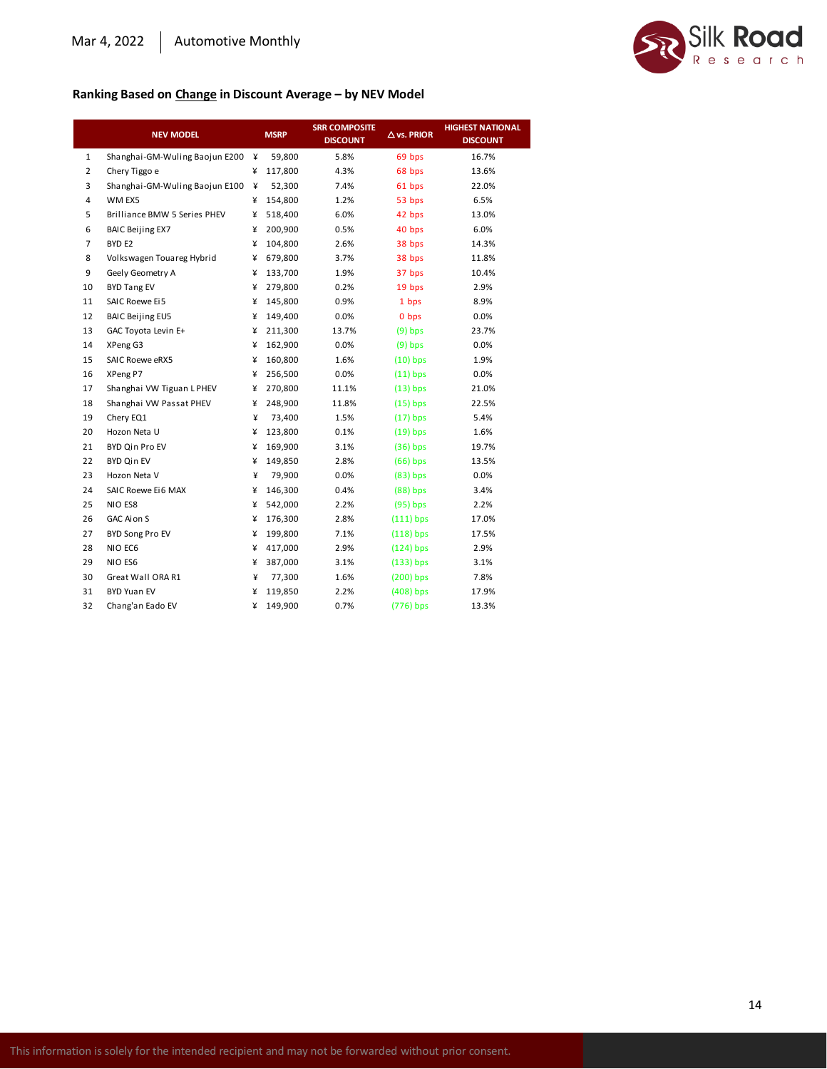

#### **Ranking Based on Change in Discount Average – by NEV Model**

|                | <b>NEV MODEL</b>                    |   | <b>MSRP</b> | <b>SRR COMPOSITE</b><br><b>DISCOUNT</b> | $\Delta$ vs. PRIOR | <b>HIGHEST NATIONAL</b><br><b>DISCOUNT</b> |
|----------------|-------------------------------------|---|-------------|-----------------------------------------|--------------------|--------------------------------------------|
| 1              | Shanghai-GM-Wuling Baojun E200      | ¥ | 59,800      | 5.8%                                    | 69 bps             | 16.7%                                      |
| $\overline{2}$ | Chery Tiggo e                       | ¥ | 117,800     | 4.3%                                    | 68 bps             | 13.6%                                      |
| 3              | Shanghai-GM-Wuling Baojun E100      | ¥ | 52,300      | 7.4%                                    | 61 bps             | 22.0%                                      |
| 4              | WM EX5                              | ¥ | 154,800     | 1.2%                                    | 53 bps             | 6.5%                                       |
| 5              | <b>Brilliance BMW 5 Series PHEV</b> | ¥ | 518,400     | 6.0%                                    | 42 bps             | 13.0%                                      |
| 6              | <b>BAIC Beijing EX7</b>             | ¥ | 200,900     | 0.5%                                    | 40 bps             | 6.0%                                       |
| $\overline{7}$ | BYD <sub>E2</sub>                   | ¥ | 104,800     | 2.6%                                    | 38 bps             | 14.3%                                      |
| 8              | Volkswagen Touareg Hybrid           | ¥ | 679,800     | 3.7%                                    | 38 bps             | 11.8%                                      |
| 9              | Geely Geometry A                    | ¥ | 133,700     | 1.9%                                    | 37 bps             | 10.4%                                      |
| 10             | <b>BYD Tang EV</b>                  | ¥ | 279,800     | 0.2%                                    | 19 bps             | 2.9%                                       |
| 11             | <b>SAIC Roewe Ei5</b>               | ¥ | 145,800     | 0.9%                                    | 1 bps              | 8.9%                                       |
| 12             | <b>BAIC Beijing EU5</b>             | ¥ | 149,400     | 0.0%                                    | 0 bps              | 0.0%                                       |
| 13             | GAC Toyota Levin E+                 | ¥ | 211,300     | 13.7%                                   | $(9)$ bps          | 23.7%                                      |
| 14             | XPeng G3                            | ¥ | 162,900     | 0.0%                                    | $(9)$ bps          | 0.0%                                       |
| 15             | SAIC Roewe eRX5                     | ¥ | 160,800     | 1.6%                                    | $(10)$ bps         | 1.9%                                       |
| 16             | XPeng P7                            | ¥ | 256,500     | 0.0%                                    | $(11)$ bps         | 0.0%                                       |
| 17             | Shanghai VW Tiguan L PHEV           | ¥ | 270,800     | 11.1%                                   | $(13)$ bps         | 21.0%                                      |
| 18             | Shanghai VW Passat PHEV             | ¥ | 248,900     | 11.8%                                   | $(15)$ bps         | 22.5%                                      |
| 19             | Chery EQ1                           | ¥ | 73,400      | 1.5%                                    | $(17)$ bps         | 5.4%                                       |
| 20             | Hozon Neta U                        | ¥ | 123,800     | 0.1%                                    | $(19)$ bps         | 1.6%                                       |
| 21             | BYD Qin Pro EV                      | ¥ | 169,900     | 3.1%                                    | $(36)$ bps         | 19.7%                                      |
| 22             | <b>BYD Qin EV</b>                   | ¥ | 149,850     | 2.8%                                    | $(66)$ bps         | 13.5%                                      |
| 23             | Hozon Neta V                        | ¥ | 79,900      | 0.0%                                    | $(83)$ bps         | 0.0%                                       |
| 24             | SAIC Roewe Ei6 MAX                  | ¥ | 146,300     | 0.4%                                    | $(88)$ bps         | 3.4%                                       |
| 25             | NIO ES8                             | ¥ | 542,000     | 2.2%                                    | $(95)$ bps         | 2.2%                                       |
| 26             | GAC Aion S                          | ¥ | 176,300     | 2.8%                                    | $(111)$ bps        | 17.0%                                      |
| 27             | <b>BYD Song Pro EV</b>              | ¥ | 199,800     | 7.1%                                    | $(118)$ bps        | 17.5%                                      |
| 28             | NIO EC6                             | ¥ | 417,000     | 2.9%                                    | $(124)$ bps        | 2.9%                                       |
| 29             | NIO ES6                             | ¥ | 387,000     | 3.1%                                    | $(133)$ bps        | 3.1%                                       |
| 30             | Great Wall ORA R1                   | ¥ | 77,300      | 1.6%                                    | $(200)$ bps        | 7.8%                                       |
| 31             | <b>BYD Yuan EV</b>                  | ¥ | 119,850     | 2.2%                                    | $(408)$ bps        | 17.9%                                      |
| 32             | Chang'an Eado EV                    | ¥ | 149,900     | 0.7%                                    | (776) bps          | 13.3%                                      |